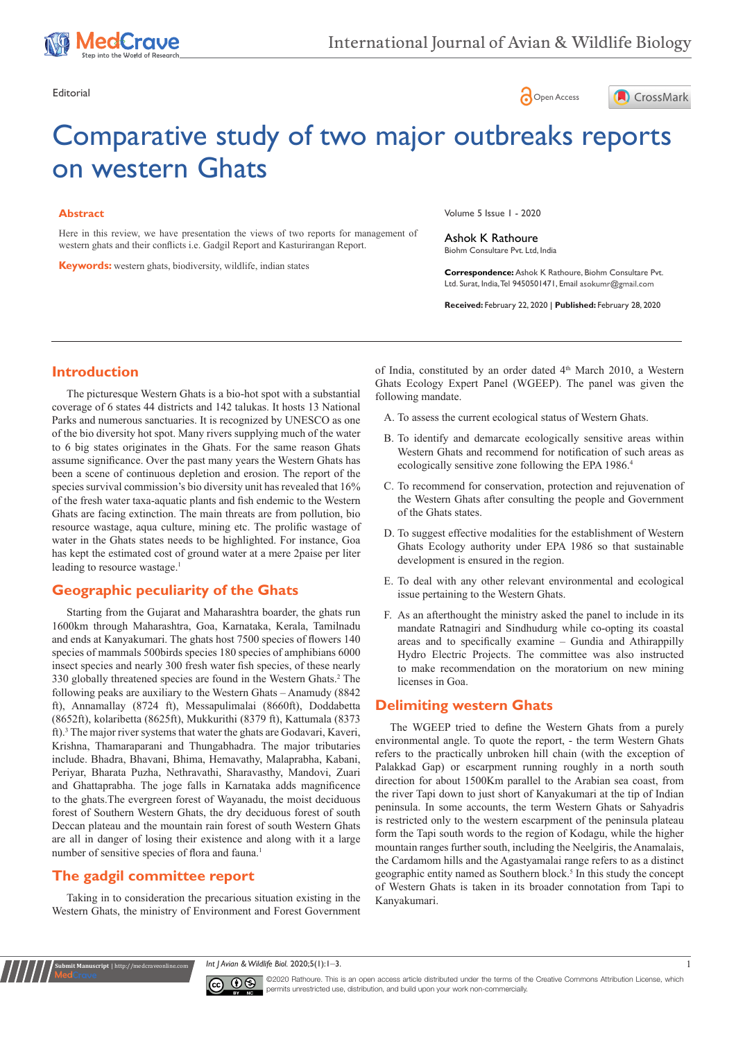





# Comparative study of two major outbreaks reports on western Ghats

#### **Abstract**

Here in this review, we have presentation the views of two reports for management of western ghats and their conflicts i.e. Gadgil Report and Kasturirangan Report.

**Keywords:** western ghats, biodiversity, wildlife, indian states

Volume 5 Issue 1 - 2020

Ashok K Rathoure Biohm Consultare Pvt. Ltd, India

**Correspondence:** Ashok K Rathoure, Biohm Consultare Pvt. Ltd. Surat, India, Tel 9450501471, Email asokumr@gmail.com

**Received:** February 22, 2020 | **Published:** February 28, 2020

## **Introduction**

The picturesque Western Ghats is a bio-hot spot with a substantial coverage of 6 states 44 districts and 142 talukas. It hosts 13 National Parks and numerous sanctuaries. It is recognized by UNESCO as one of the bio diversity hot spot. Many rivers supplying much of the water to 6 big states originates in the Ghats. For the same reason Ghats assume significance. Over the past many years the Western Ghats has been a scene of continuous depletion and erosion. The report of the species survival commission's bio diversity unit has revealed that 16% of the fresh water taxa-aquatic plants and fish endemic to the Western Ghats are facing extinction. The main threats are from pollution, bio resource wastage, aqua culture, mining etc. The prolific wastage of water in the Ghats states needs to be highlighted. For instance, Goa has kept the estimated cost of ground water at a mere 2paise per liter leading to resource wastage.<sup>1</sup>

## **Geographic peculiarity of the Ghats**

Starting from the Gujarat and Maharashtra boarder, the ghats run 1600km through Maharashtra, Goa, Karnataka, Kerala, Tamilnadu and ends at Kanyakumari. The ghats host 7500 species of flowers 140 species of mammals 500birds species 180 species of amphibians 6000 insect species and nearly 300 fresh water fish species, of these nearly 330 globally threatened species are found in the Western Ghats.2 The following peaks are auxiliary to the Western Ghats – Anamudy (8842 ft), Annamallay (8724 ft), Messapulimalai (8660ft), Doddabetta (8652ft), kolaribetta (8625ft), Mukkurithi (8379 ft), Kattumala (8373 ft).3 The major river systems that water the ghats are Godavari, Kaveri, Krishna, Thamaraparani and Thungabhadra. The major tributaries include. Bhadra, Bhavani, Bhima, Hemavathy, Malaprabha, Kabani, Periyar, Bharata Puzha, Nethravathi, Sharavasthy, Mandovi, Zuari and Ghattaprabha. The joge falls in Karnataka adds magnificence to the ghats.The evergreen forest of Wayanadu, the moist deciduous forest of Southern Western Ghats, the dry deciduous forest of south Deccan plateau and the mountain rain forest of south Western Ghats are all in danger of losing their existence and along with it a large number of sensitive species of flora and fauna.<sup>1</sup>

## **The gadgil committee report**

**Kubmit Manuscript** | http://medcraveonline

Taking in to consideration the precarious situation existing in the Western Ghats, the ministry of Environment and Forest Government of India, constituted by an order dated 4<sup>th</sup> March 2010, a Western Ghats Ecology Expert Panel (WGEEP). The panel was given the following mandate.

- A. To assess the current ecological status of Western Ghats.
- B. To identify and demarcate ecologically sensitive areas within Western Ghats and recommend for notification of such areas as ecologically sensitive zone following the EPA 1986.4
- C. To recommend for conservation, protection and rejuvenation of the Western Ghats after consulting the people and Government of the Ghats states.
- D. To suggest effective modalities for the establishment of Western Ghats Ecology authority under EPA 1986 so that sustainable development is ensured in the region.
- E. To deal with any other relevant environmental and ecological issue pertaining to the Western Ghats.
- F. As an afterthought the ministry asked the panel to include in its mandate Ratnagiri and Sindhudurg while co-opting its coastal areas and to specifically examine – Gundia and Athirappilly Hydro Electric Projects. The committee was also instructed to make recommendation on the moratorium on new mining licenses in Goa.

## **Delimiting western Ghats**

The WGEEP tried to define the Western Ghats from a purely environmental angle. To quote the report, - the term Western Ghats refers to the practically unbroken hill chain (with the exception of Palakkad Gap) or escarpment running roughly in a north south direction for about 1500Km parallel to the Arabian sea coast, from the river Tapi down to just short of Kanyakumari at the tip of Indian peninsula. In some accounts, the term Western Ghats or Sahyadris is restricted only to the western escarpment of the peninsula plateau form the Tapi south words to the region of Kodagu, while the higher mountain ranges further south, including the Neelgiris, the Anamalais, the Cardamom hills and the Agastyamalai range refers to as a distinct geographic entity named as Southern block.<sup>5</sup> In this study the concept of Western Ghats is taken in its broader connotation from Tapi to Kanyakumari.

*Int J Avian & Wildlife Biol.* 2020;5(1):1‒3. 1



©2020 Rathoure. This is an open access article distributed under the terms of the [Creative Commons Attribution License](https://creativecommons.org/licenses/by-nc/4.0/), which permits unrestricted use, distribution, and build upon your work non-commercially.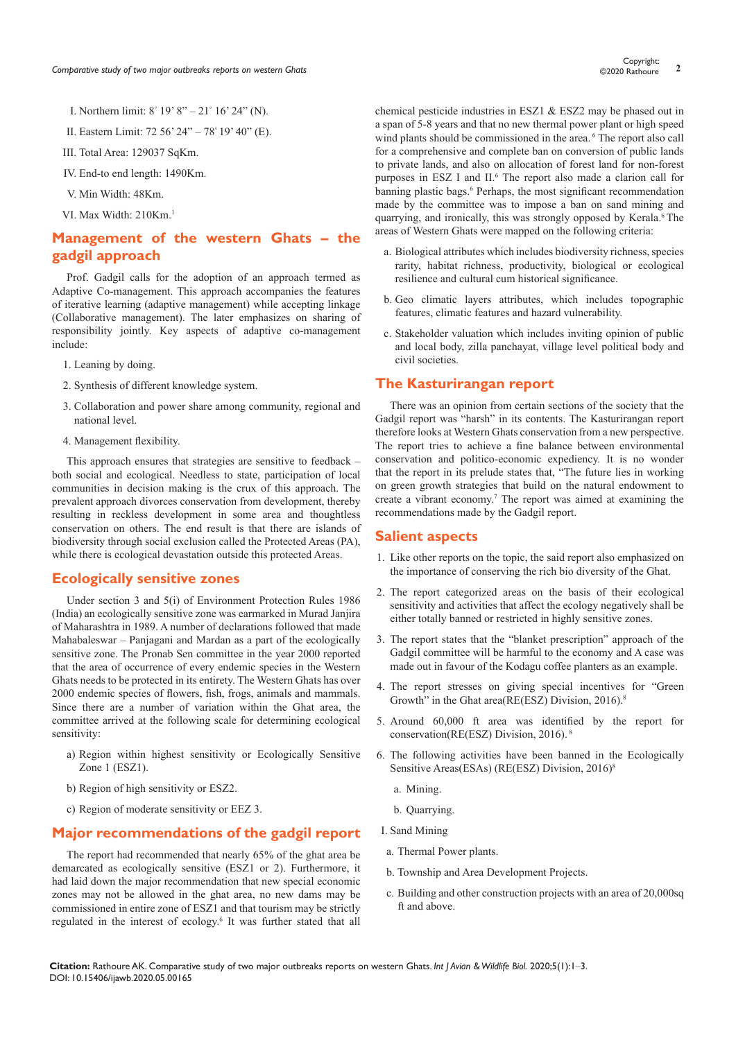- I. Northern limit: 8° 19' 8" 21° 16' 24" (N).
- II. Eastern Limit: 72 56' 24" 78° 19' 40" (E).
- III. Total Area: 129037 SqKm.
- IV. End-to end length: 1490Km.
- V. Min Width: 48Km.
- VI. Max Width: 210Km.1

### **Management of the western Ghats – the gadgil approach**

Prof. Gadgil calls for the adoption of an approach termed as Adaptive Co-management. This approach accompanies the features of iterative learning (adaptive management) while accepting linkage (Collaborative management). The later emphasizes on sharing of responsibility jointly. Key aspects of adaptive co-management include:

- 1. Leaning by doing.
- 2. Synthesis of different knowledge system.
- 3. Collaboration and power share among community, regional and national level.
- 4. Management flexibility.

This approach ensures that strategies are sensitive to feedback – both social and ecological. Needless to state, participation of local communities in decision making is the crux of this approach. The prevalent approach divorces conservation from development, thereby resulting in reckless development in some area and thoughtless conservation on others. The end result is that there are islands of biodiversity through social exclusion called the Protected Areas (PA), while there is ecological devastation outside this protected Areas.

#### **Ecologically sensitive zones**

Under section 3 and 5(i) of Environment Protection Rules 1986 (India) an ecologically sensitive zone was earmarked in Murad Janjira of Maharashtra in 1989. A number of declarations followed that made Mahabaleswar – Panjagani and Mardan as a part of the ecologically sensitive zone. The Pronab Sen committee in the year 2000 reported that the area of occurrence of every endemic species in the Western Ghats needs to be protected in its entirety. The Western Ghats has over 2000 endemic species of flowers, fish, frogs, animals and mammals. Since there are a number of variation within the Ghat area, the committee arrived at the following scale for determining ecological sensitivity:

- a) Region within highest sensitivity or Ecologically Sensitive Zone 1 (ESZ1).
- b) Region of high sensitivity or ESZ2.
- c) Region of moderate sensitivity or EEZ 3.

#### **Major recommendations of the gadgil report**

The report had recommended that nearly 65% of the ghat area be demarcated as ecologically sensitive (ESZ1 or 2). Furthermore, it had laid down the major recommendation that new special economic zones may not be allowed in the ghat area, no new dams may be commissioned in entire zone of ESZ1 and that tourism may be strictly regulated in the interest of ecology.<sup>6</sup> It was further stated that all chemical pesticide industries in ESZ1 & ESZ2 may be phased out in a span of 5-8 years and that no new thermal power plant or high speed wind plants should be commissioned in the area. <sup>6</sup> The report also call for a comprehensive and complete ban on conversion of public lands to private lands, and also on allocation of forest land for non-forest purposes in ESZ I and II.<sup>6</sup> The report also made a clarion call for banning plastic bags.<sup>6</sup> Perhaps, the most significant recommendation made by the committee was to impose a ban on sand mining and quarrying, and ironically, this was strongly opposed by Kerala.<sup>6</sup> The areas of Western Ghats were mapped on the following criteria:

- a. Biological attributes which includes biodiversity richness, species rarity, habitat richness, productivity, biological or ecological resilience and cultural cum historical significance.
- b. Geo climatic layers attributes, which includes topographic features, climatic features and hazard vulnerability.
- c. Stakeholder valuation which includes inviting opinion of public and local body, zilla panchayat, village level political body and civil societies.

#### **The Kasturirangan report**

There was an opinion from certain sections of the society that the Gadgil report was "harsh" in its contents. The Kasturirangan report therefore looks at Western Ghats conservation from a new perspective. The report tries to achieve a fine balance between environmental conservation and politico-economic expediency. It is no wonder that the report in its prelude states that, "The future lies in working on green growth strategies that build on the natural endowment to create a vibrant economy.7 The report was aimed at examining the recommendations made by the Gadgil report.

#### **Salient aspects**

- 1. Like other reports on the topic, the said report also emphasized on the importance of conserving the rich bio diversity of the Ghat.
- 2. The report categorized areas on the basis of their ecological sensitivity and activities that affect the ecology negatively shall be either totally banned or restricted in highly sensitive zones.
- 3. The report states that the "blanket prescription" approach of the Gadgil committee will be harmful to the economy and A case was made out in favour of the Kodagu coffee planters as an example.
- 4. The report stresses on giving special incentives for "Green Growth" in the Ghat area( $RE(ESZ)$  Division, 2016).<sup>8</sup>
- 5. Around 60,000 ft area was identified by the report for conservation(RE(ESZ) Division, 2016). 8
- 6. The following activities have been banned in the Ecologically Sensitive Areas(ESAs) (RE(ESZ) Division, 2016)<sup>8</sup>
	- a. Mining.
	- b. Quarrying.
- I. Sand Mining
- a. Thermal Power plants.
- b. Township and Area Development Projects.
- c. Building and other construction projects with an area of 20,000sq ft and above.